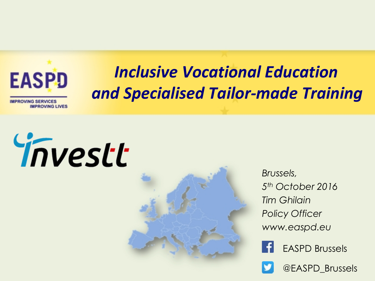

# *Inclusive Vocational Education and Specialised Tailor-made Training*





*Brussels, 5 th October 2016 Tim Ghilain Policy Officer www.easpd.eu*





@EASPD\_Brussels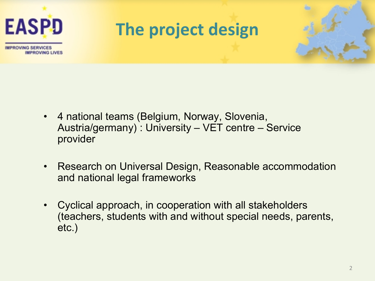

- 4 national teams (Belgium, Norway, Slovenia, Austria/germany) : University – VET centre – Service provider
- Research on Universal Design, Reasonable accommodation and national legal frameworks
- Cyclical approach, in cooperation with all stakeholders (teachers, students with and without special needs, parents, etc.)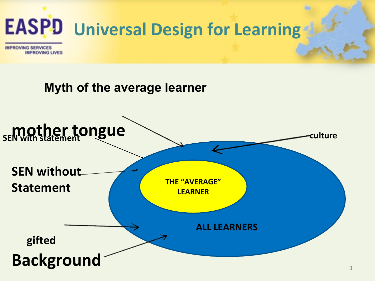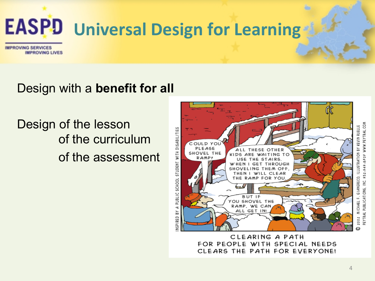

### Design with a **benefit for all**

## Design of the lesson of the curriculum of the assessment



CLEARING A PATH FOR PEOPLE WITH SPECIAL NEEDS CLEARS THE PATH FOR EVERYONE!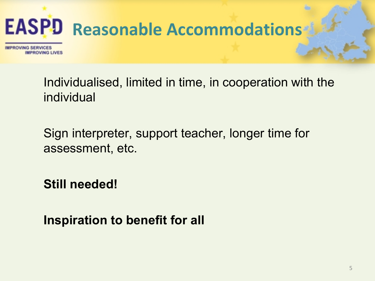

Individualised, limited in time, in cooperation with the individual

Sign interpreter, support teacher, longer time for assessment, etc.

**Still needed!**

**Inspiration to benefit for all**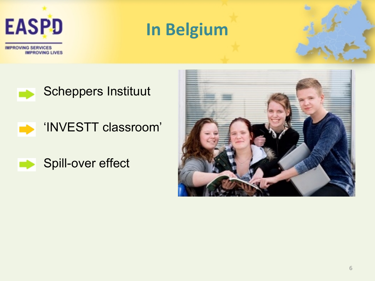

**In Belgium**

**IMPROVING SERVICES IMPROVING LIVES** 

Scheppers Instituut

'INVESTT classroom'



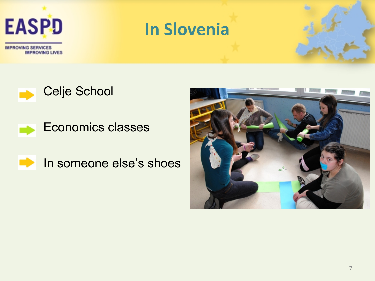

## **In Slovenia**





 $\Rightarrow$ In someone else's shoes

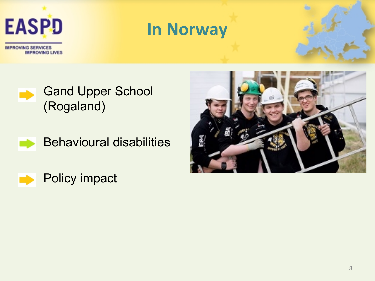









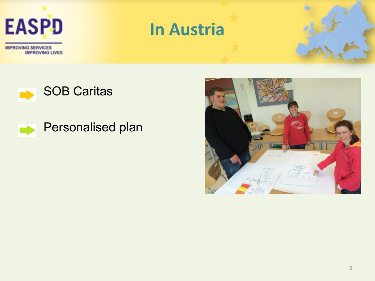

## **In Austria**



### Personalised plan

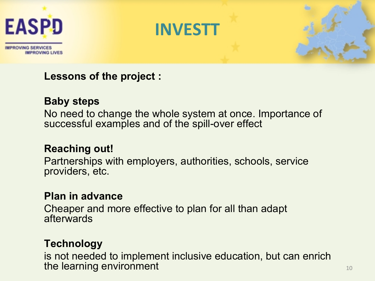





#### **Lessons of the project :**

#### **Baby steps**

No need to change the whole system at once. Importance of successful examples and of the spill-over effect

#### **Reaching out!**

Partnerships with employers, authorities, schools, service providers, etc.

#### **Plan in advance**

Cheaper and more effective to plan for all than adapt afterwards

#### **Technology**

is not needed to implement inclusive education, but can enrich the learning environment and the learning environment of the state of the state  $10^{-10}$